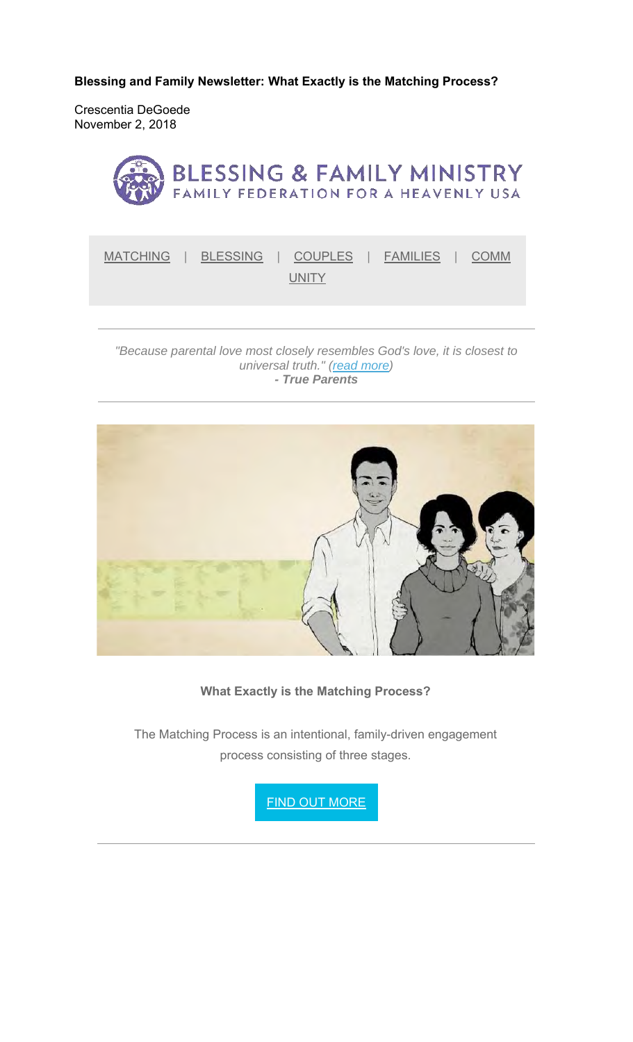**Blessing and Family Newsletter: What Exactly is the Matching Process?** 

Crescentia DeGoede November 2, 2018



*"Because parental love most closely resembles God's love, it is closest to universal truth." (read more) - True Parents*



**What Exactly is the Matching Process?**

The Matching Process is an intentional, family-driven engagement process consisting of three stages.

**FIND OUT MORE**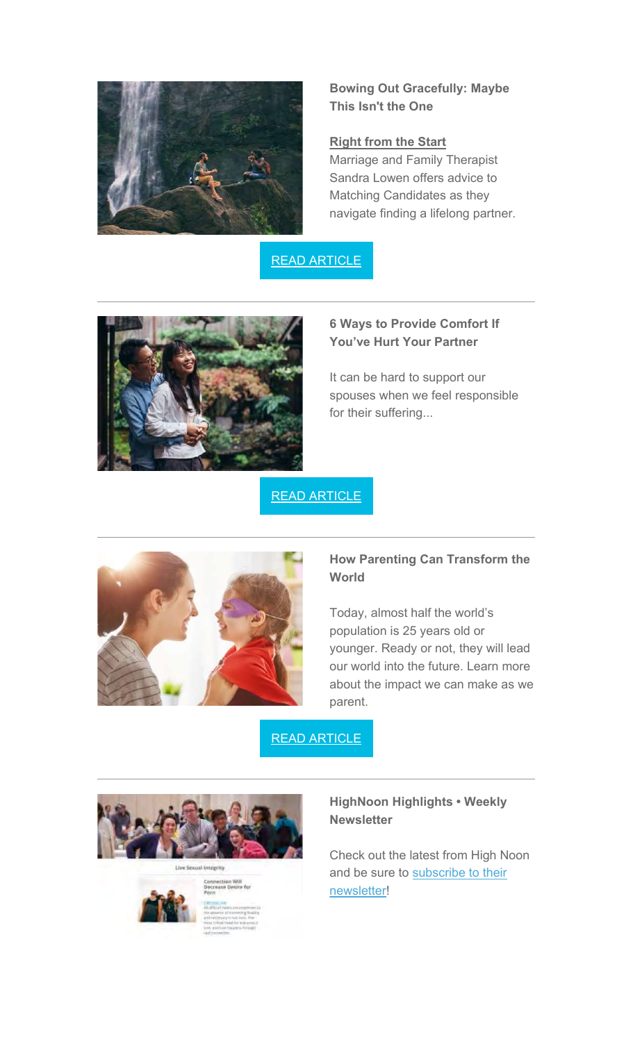

**Bowing Out Gracefully: Maybe This Isn't the One**

#### **Right from the Start**

Marriage and Family Therapist Sandra Lowen offers advice to Matching Candidates as they navigate finding a lifelong partner.

READ ARTICLE



## **6 Ways to Provide Comfort If You've Hurt Your Partner**

It can be hard to support our spouses when we feel responsible for their suffering...

# READ ARTICLE



## **How Parenting Can Transform the World**

Today, almost half the world's population is 25 years old or younger. Ready or not, they will lead our world into the future. Learn more about the impact we can make as we parent.

READ ARTICLE





**HighNoon Highlights • Weekly Newsletter**

Check out the latest from High Noon and be sure to subscribe to their newsletter!